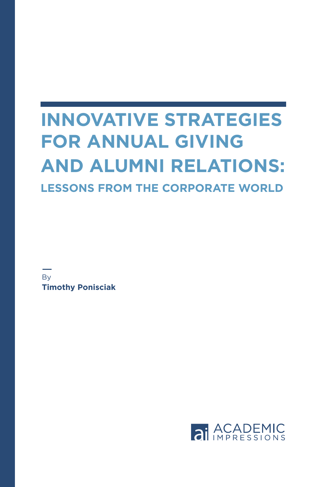# **INNOVATIVE STRATEGIES FOR ANNUAL GIVING AND ALUMNI RELATIONS: LESSONS FROM THE CORPORATE WORLD**

**B**<sub>v</sub> **Timothy Ponisciak**

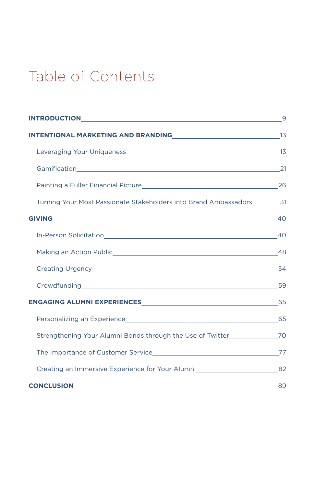## Table of Contents

| <b>INTENTIONAL MARKETING AND BRANDING CONTRACT AND ASSESSMENT REPORT OF A SET OF A SET OF A SET OF A SET OF A SET OF A SET OF A SET OF A SET OF A SET OF A SET OF A SET OF A SET OF A SET OF A SET OF A SET OF A SET OF A SET OF</b> |    |
|--------------------------------------------------------------------------------------------------------------------------------------------------------------------------------------------------------------------------------------|----|
|                                                                                                                                                                                                                                      |    |
|                                                                                                                                                                                                                                      |    |
|                                                                                                                                                                                                                                      |    |
| Turning Your Most Passionate Stakeholders into Brand Ambassadors 31                                                                                                                                                                  |    |
|                                                                                                                                                                                                                                      |    |
|                                                                                                                                                                                                                                      |    |
|                                                                                                                                                                                                                                      |    |
| Creating Urgency 54                                                                                                                                                                                                                  |    |
| Crowdfunding 59                                                                                                                                                                                                                      |    |
| ENGAGING ALUMNI EXPERIENCESNE AND THE RESERVE OF STATE AND THE RESERVE OF STATE AND THE RESERVE OF STATE AND T                                                                                                                       |    |
|                                                                                                                                                                                                                                      |    |
| Strengthening Your Alumni Bonds through the Use of Twitter________________70                                                                                                                                                         |    |
|                                                                                                                                                                                                                                      |    |
| Creating an Immersive Experience for Your Alumni 482                                                                                                                                                                                 |    |
|                                                                                                                                                                                                                                      | 89 |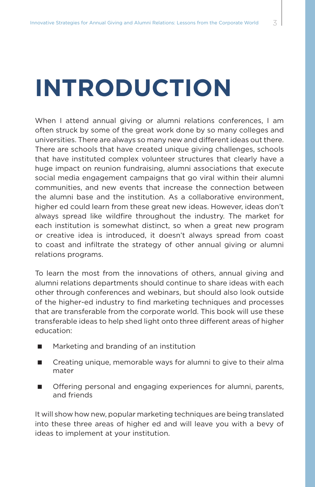# **INTRODUCTION**

When I attend annual giving or alumni relations conferences, I am often struck by some of the great work done by so many colleges and universities. There are always so many new and different ideas out there. There are schools that have created unique giving challenges, schools that have instituted complex volunteer structures that clearly have a huge impact on reunion fundraising, alumni associations that execute social media engagement campaigns that go viral within their alumni communities, and new events that increase the connection between the alumni base and the institution. As a collaborative environment, higher ed could learn from these great new ideas. However, ideas don't always spread like wildfire throughout the industry. The market for each institution is somewhat distinct, so when a great new program or creative idea is introduced, it doesn't always spread from coast to coast and infiltrate the strategy of other annual giving or alumni relations programs.

To learn the most from the innovations of others, annual giving and alumni relations departments should continue to share ideas with each other through conferences and webinars, but should also look outside of the higher-ed industry to find marketing techniques and processes that are transferable from the corporate world. This book will use these transferable ideas to help shed light onto three different areas of higher education:

- Marketing and branding of an institution
- Creating unique, memorable ways for alumni to give to their alma mater
- **Demogenal of the Steps** of engaging experiences for alumni, parents, and friends

It will show how new, popular marketing techniques are being translated into these three areas of higher ed and will leave you with a bevy of ideas to implement at your institution.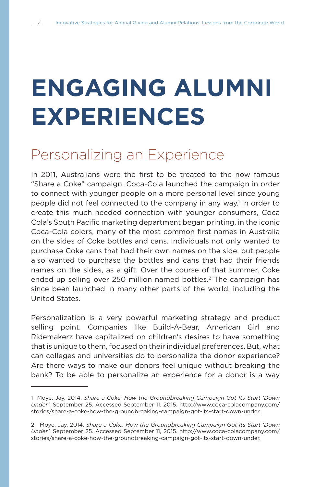# **ENGAGING ALUMNI EXPERIENCES**

### Personalizing an Experience

In 2011, Australians were the first to be treated to the now famous "Share a Coke" campaign. Coca-Cola launched the campaign in order to connect with younger people on a more personal level since young people did not feel connected to the company in any way.<sup>1</sup> In order to create this much needed connection with younger consumers, Coca Cola's South Pacific marketing department began printing, in the iconic Coca-Cola colors, many of the most common first names in Australia on the sides of Coke bottles and cans. Individuals not only wanted to purchase Coke cans that had their own names on the side, but people also wanted to purchase the bottles and cans that had their friends names on the sides, as a gift. Over the course of that summer, Coke ended up selling over 250 million named bottles.<sup>2</sup> The campaign has since been launched in many other parts of the world, including the United States.

Personalization is a very powerful marketing strategy and product selling point. Companies like Build-A-Bear, American Girl and Ridemakerz have capitalized on children's desires to have something that is unique to them, focused on their individual preferences. But, what can colleges and universities do to personalize the donor experience? Are there ways to make our donors feel unique without breaking the bank? To be able to personalize an experience for a donor is a way

<sup>1</sup> Moye, Jay. 2014. *Share a Coke: How the Groundbreaking Campaign Got Its Start 'Down Under'*. September 25. Accessed September 11, 2015. http://www.coca-colacompany.com/ stories/share-a-coke-how-the-groundbreaking-campaign-got-its-start-down-under.

<sup>2</sup> Moye, Jay. 2014. *Share a Coke: How the Groundbreaking Campaign Got Its Start 'Down Under'*. September 25. Accessed September 11, 2015. http://www.coca-colacompany.com/ stories/share-a-coke-how-the-groundbreaking-campaign-got-its-start-down-under.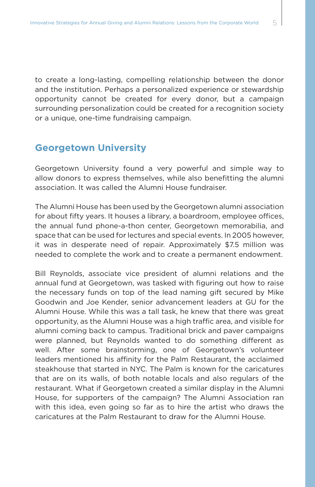to create a long-lasting, compelling relationship between the donor and the institution. Perhaps a personalized experience or stewardship opportunity cannot be created for every donor, but a campaign surrounding personalization could be created for a recognition society or a unique, one-time fundraising campaign.

#### **Georgetown University**

Georgetown University found a very powerful and simple way to allow donors to express themselves, while also benefitting the alumni association. It was called the Alumni House fundraiser.

The Alumni House has been used by the Georgetown alumni association for about fifty years. It houses a library, a boardroom, employee offices, the annual fund phone-a-thon center, Georgetown memorabilia, and space that can be used for lectures and special events. In 2005 however, it was in desperate need of repair. Approximately \$7.5 million was needed to complete the work and to create a permanent endowment.

Bill Reynolds, associate vice president of alumni relations and the annual fund at Georgetown, was tasked with figuring out how to raise the necessary funds on top of the lead naming gift secured by Mike Goodwin and Joe Kender, senior advancement leaders at GU for the Alumni House. While this was a tall task, he knew that there was great opportunity, as the Alumni House was a high traffic area, and visible for alumni coming back to campus. Traditional brick and paver campaigns were planned, but Reynolds wanted to do something different as well. After some brainstorming, one of Georgetown's volunteer leaders mentioned his affinity for the Palm Restaurant, the acclaimed steakhouse that started in NYC. The Palm is known for the caricatures that are on its walls, of both notable locals and also regulars of the restaurant. What if Georgetown created a similar display in the Alumni House, for supporters of the campaign? The Alumni Association ran with this idea, even going so far as to hire the artist who draws the caricatures at the Palm Restaurant to draw for the Alumni House.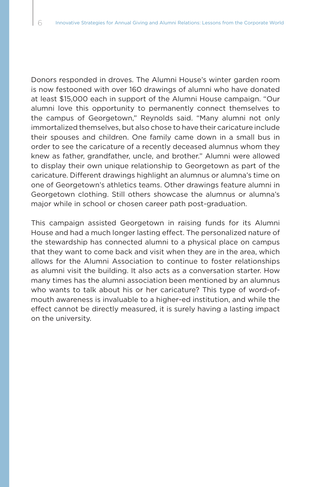Donors responded in droves. The Alumni House's winter garden room is now festooned with over 160 drawings of alumni who have donated at least \$15,000 each in support of the Alumni House campaign. "Our alumni love this opportunity to permanently connect themselves to the campus of Georgetown," Reynolds said. "Many alumni not only immortalized themselves, but also chose to have their caricature include their spouses and children. One family came down in a small bus in order to see the caricature of a recently deceased alumnus whom they knew as father, grandfather, uncle, and brother." Alumni were allowed to display their own unique relationship to Georgetown as part of the caricature. Different drawings highlight an alumnus or alumna's time on one of Georgetown's athletics teams. Other drawings feature alumni in Georgetown clothing. Still others showcase the alumnus or alumna's major while in school or chosen career path post-graduation.

This campaign assisted Georgetown in raising funds for its Alumni House and had a much longer lasting effect. The personalized nature of the stewardship has connected alumni to a physical place on campus that they want to come back and visit when they are in the area, which allows for the Alumni Association to continue to foster relationships as alumni visit the building. It also acts as a conversation starter. How many times has the alumni association been mentioned by an alumnus who wants to talk about his or her caricature? This type of word-ofmouth awareness is invaluable to a higher-ed institution, and while the effect cannot be directly measured, it is surely having a lasting impact on the university.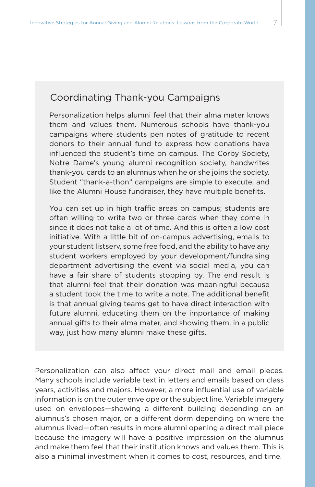### Coordinating Thank-you Campaigns

Personalization helps alumni feel that their alma mater knows them and values them. Numerous schools have thank-you campaigns where students pen notes of gratitude to recent donors to their annual fund to express how donations have influenced the student's time on campus. The Corby Society, Notre Dame's young alumni recognition society, handwrites thank-you cards to an alumnus when he or she joins the society. Student "thank-a-thon" campaigns are simple to execute, and like the Alumni House fundraiser, they have multiple benefits.

You can set up in high traffic areas on campus; students are often willing to write two or three cards when they come in since it does not take a lot of time. And this is often a low cost initiative. With a little bit of on-campus advertising, emails to your student listserv, some free food, and the ability to have any student workers employed by your development/fundraising department advertising the event via social media, you can have a fair share of students stopping by. The end result is that alumni feel that their donation was meaningful because a student took the time to write a note. The additional benefit is that annual giving teams get to have direct interaction with future alumni, educating them on the importance of making annual gifts to their alma mater, and showing them, in a public way, just how many alumni make these gifts.

Personalization can also affect your direct mail and email pieces. Many schools include variable text in letters and emails based on class years, activities and majors. However, a more influential use of variable information is on the outer envelope or the subject line. Variable imagery used on envelopes—showing a different building depending on an alumnus's chosen major, or a different dorm depending on where the alumnus lived—often results in more alumni opening a direct mail piece because the imagery will have a positive impression on the alumnus and make them feel that their institution knows and values them. This is also a minimal investment when it comes to cost, resources, and time.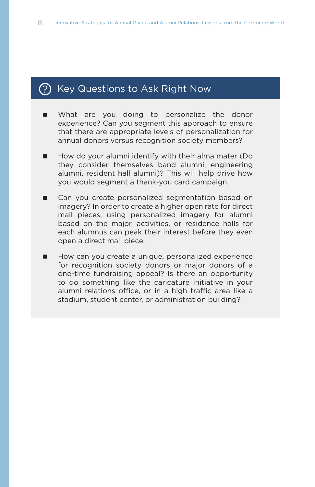### $(?)$  Key Questions to Ask Right Now

- What are you doing to personalize the donor experience? Can you segment this approach to ensure that there are appropriate levels of personalization for annual donors versus recognition society members?
- $\blacksquare$  How do your alumni identify with their alma mater (Do they consider themselves band alumni, engineering alumni, resident hall alumni)? This will help drive how you would segment a thank-you card campaign.
- Can you create personalized segmentation based on imagery? In order to create a higher open rate for direct mail pieces, using personalized imagery for alumni based on the major, activities, or residence halls for each alumnus can peak their interest before they even open a direct mail piece.
- How can you create a unique, personalized experience for recognition society donors or major donors of a one-time fundraising appeal? Is there an opportunity to do something like the caricature initiative in your alumni relations office, or in a high traffic area like a stadium, student center, or administration building?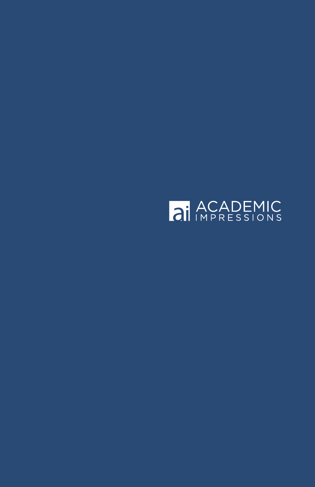